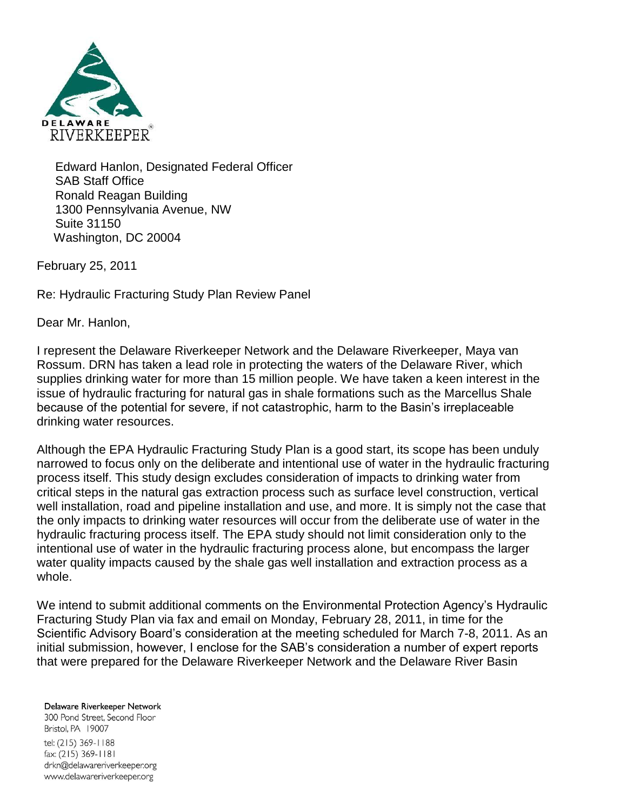

Edward Hanlon, Designated Federal Officer SAB Staff Office Ronald Reagan Building 1300 Pennsylvania Avenue, NW Suite 31150 Washington, DC 20004

February 25, 2011

Re: Hydraulic Fracturing Study Plan Review Panel

Dear Mr. Hanlon,

I represent the Delaware Riverkeeper Network and the Delaware Riverkeeper, Maya van Rossum. DRN has taken a lead role in protecting the waters of the Delaware River, which supplies drinking water for more than 15 million people. We have taken a keen interest in the issue of hydraulic fracturing for natural gas in shale formations such as the Marcellus Shale because of the potential for severe, if not catastrophic, harm to the Basin's irreplaceable drinking water resources.

Although the EPA Hydraulic Fracturing Study Plan is a good start, its scope has been unduly narrowed to focus only on the deliberate and intentional use of water in the hydraulic fracturing process itself. This study design excludes consideration of impacts to drinking water from critical steps in the natural gas extraction process such as surface level construction, vertical well installation, road and pipeline installation and use, and more. It is simply not the case that the only impacts to drinking water resources will occur from the deliberate use of water in the hydraulic fracturing process itself. The EPA study should not limit consideration only to the intentional use of water in the hydraulic fracturing process alone, but encompass the larger water quality impacts caused by the shale gas well installation and extraction process as a whole.

We intend to submit additional comments on the Environmental Protection Agency's Hydraulic Fracturing Study Plan via fax and email on Monday, February 28, 2011, in time for the Scientific Advisory Board's consideration at the meeting scheduled for March 7-8, 2011. As an initial submission, however, I enclose for the SAB's consideration a number of expert reports that were prepared for the Delaware Riverkeeper Network and the Delaware River Basin

## Delaware Riverkeeper Network

300 Pond Street. Second Floor Bristol, PA 19007 tel: (215) 369-1188 fax: (215) 369-1181 drkn@delawareriverkeeper.org www.delawareriverkeeper.org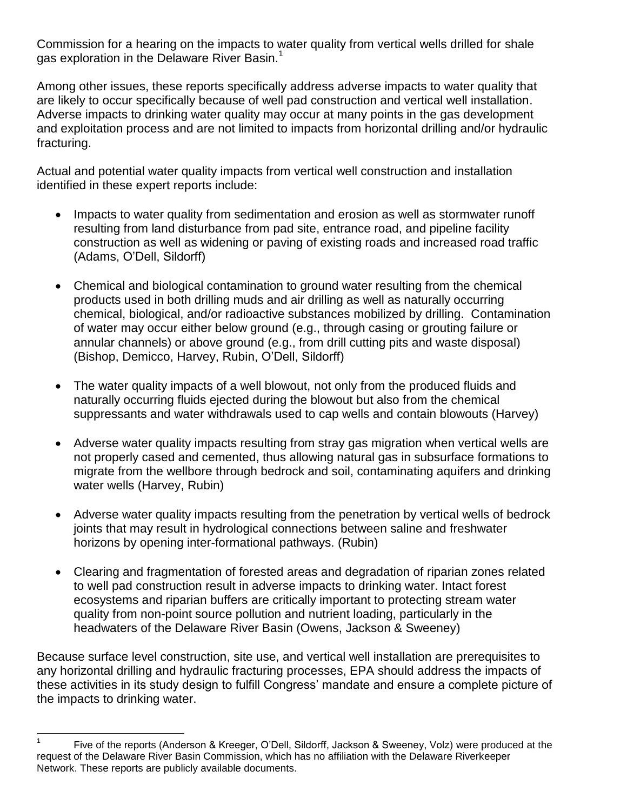Commission for a hearing on the impacts to water quality from vertical wells drilled for shale gas exploration in the Delaware River Basin.<sup>1</sup>

Among other issues, these reports specifically address adverse impacts to water quality that are likely to occur specifically because of well pad construction and vertical well installation. Adverse impacts to drinking water quality may occur at many points in the gas development and exploitation process and are not limited to impacts from horizontal drilling and/or hydraulic fracturing.

Actual and potential water quality impacts from vertical well construction and installation identified in these expert reports include:

- Impacts to water quality from sedimentation and erosion as well as stormwater runoff resulting from land disturbance from pad site, entrance road, and pipeline facility construction as well as widening or paving of existing roads and increased road traffic (Adams, O'Dell, Sildorff)
- Chemical and biological contamination to ground water resulting from the chemical products used in both drilling muds and air drilling as well as naturally occurring chemical, biological, and/or radioactive substances mobilized by drilling. Contamination of water may occur either below ground (e.g., through casing or grouting failure or annular channels) or above ground (e.g., from drill cutting pits and waste disposal) (Bishop, Demicco, Harvey, Rubin, O'Dell, Sildorff)
- The water quality impacts of a well blowout, not only from the produced fluids and naturally occurring fluids ejected during the blowout but also from the chemical suppressants and water withdrawals used to cap wells and contain blowouts (Harvey)
- Adverse water quality impacts resulting from stray gas migration when vertical wells are not properly cased and cemented, thus allowing natural gas in subsurface formations to migrate from the wellbore through bedrock and soil, contaminating aquifers and drinking water wells (Harvey, Rubin)
- Adverse water quality impacts resulting from the penetration by vertical wells of bedrock joints that may result in hydrological connections between saline and freshwater horizons by opening inter-formational pathways. (Rubin)
- Clearing and fragmentation of forested areas and degradation of riparian zones related to well pad construction result in adverse impacts to drinking water. Intact forest ecosystems and riparian buffers are critically important to protecting stream water quality from non-point source pollution and nutrient loading, particularly in the headwaters of the Delaware River Basin (Owens, Jackson & Sweeney)

Because surface level construction, site use, and vertical well installation are prerequisites to any horizontal drilling and hydraulic fracturing processes, EPA should address the impacts of these activities in its study design to fulfill Congress' mandate and ensure a complete picture of the impacts to drinking water.

 $\frac{1}{1}$ Five of the reports (Anderson & Kreeger, O'Dell, Sildorff, Jackson & Sweeney, Volz) were produced at the request of the Delaware River Basin Commission, which has no affiliation with the Delaware Riverkeeper Network. These reports are publicly available documents.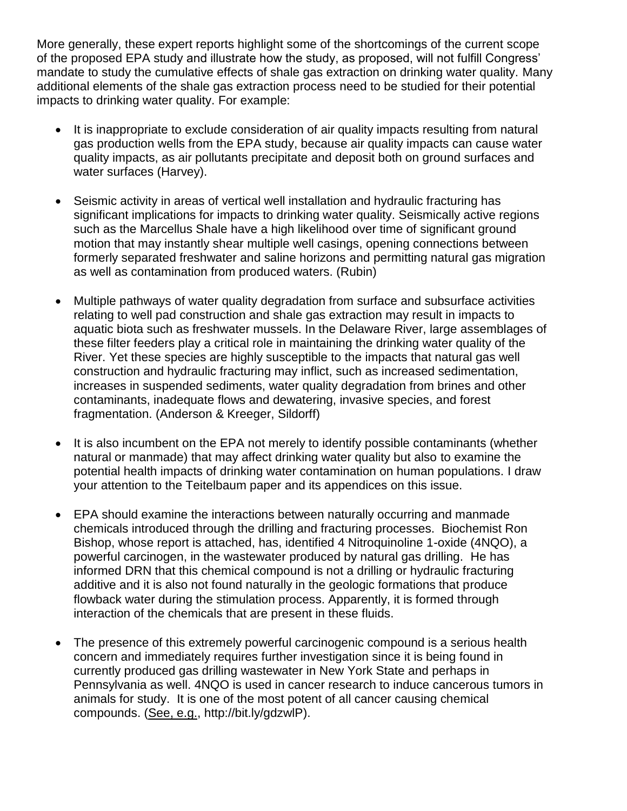More generally, these expert reports highlight some of the shortcomings of the current scope of the proposed EPA study and illustrate how the study, as proposed, will not fulfill Congress' mandate to study the cumulative effects of shale gas extraction on drinking water quality. Many additional elements of the shale gas extraction process need to be studied for their potential impacts to drinking water quality. For example:

- It is inappropriate to exclude consideration of air quality impacts resulting from natural gas production wells from the EPA study, because air quality impacts can cause water quality impacts, as air pollutants precipitate and deposit both on ground surfaces and water surfaces (Harvey).
- Seismic activity in areas of vertical well installation and hydraulic fracturing has significant implications for impacts to drinking water quality. Seismically active regions such as the Marcellus Shale have a high likelihood over time of significant ground motion that may instantly shear multiple well casings, opening connections between formerly separated freshwater and saline horizons and permitting natural gas migration as well as contamination from produced waters. (Rubin)
- Multiple pathways of water quality degradation from surface and subsurface activities relating to well pad construction and shale gas extraction may result in impacts to aquatic biota such as freshwater mussels. In the Delaware River, large assemblages of these filter feeders play a critical role in maintaining the drinking water quality of the River. Yet these species are highly susceptible to the impacts that natural gas well construction and hydraulic fracturing may inflict, such as increased sedimentation, increases in suspended sediments, water quality degradation from brines and other contaminants, inadequate flows and dewatering, invasive species, and forest fragmentation. (Anderson & Kreeger, Sildorff)
- It is also incumbent on the EPA not merely to identify possible contaminants (whether natural or manmade) that may affect drinking water quality but also to examine the potential health impacts of drinking water contamination on human populations. I draw your attention to the Teitelbaum paper and its appendices on this issue.
- EPA should examine the interactions between naturally occurring and manmade chemicals introduced through the drilling and fracturing processes. Biochemist Ron Bishop, whose report is attached, has, identified 4 Nitroquinoline 1-oxide (4NQO), a powerful carcinogen, in the wastewater produced by natural gas drilling. He has informed DRN that this chemical compound is not a drilling or hydraulic fracturing additive and it is also not found naturally in the geologic formations that produce flowback water during the stimulation process. Apparently, it is formed through interaction of the chemicals that are present in these fluids.
- The presence of this extremely powerful carcinogenic compound is a serious health concern and immediately requires further investigation since it is being found in currently produced gas drilling wastewater in New York State and perhaps in Pennsylvania as well. 4NQO is used in cancer research to induce cancerous tumors in animals for study. It is one of the most potent of all cancer causing chemical compounds. (See, e.g., http://bit.ly/gdzwlP).